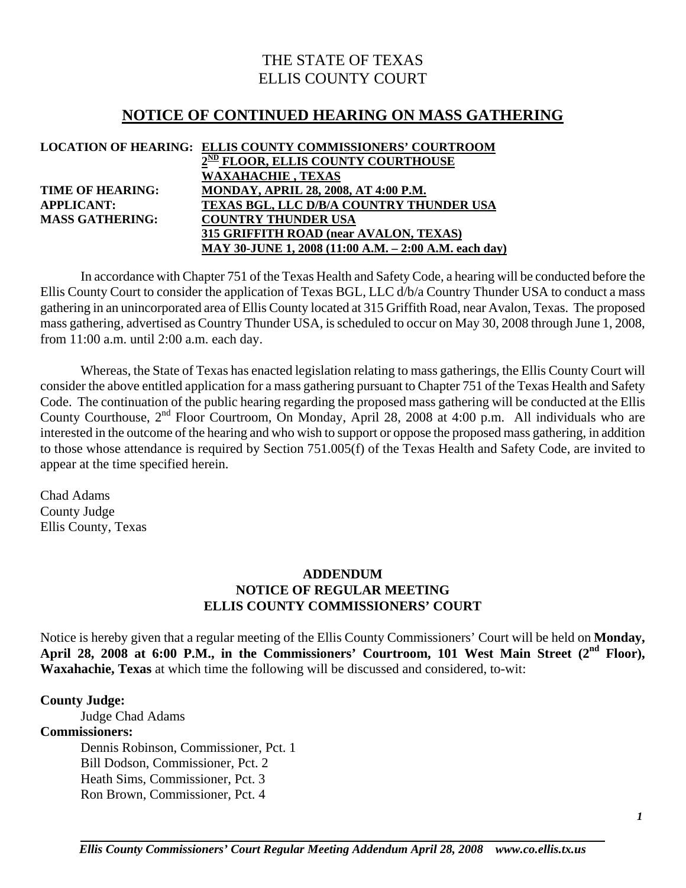# THE STATE OF TEXAS ELLIS COUNTY COURT

# **NOTICE OF CONTINUED HEARING ON MASS GATHERING**

|                         | LOCATION OF HEARING: ELLIS COUNTY COMMISSIONERS' COURTROOM |
|-------------------------|------------------------------------------------------------|
|                         | 2 <sup>ND</sup> FLOOR, ELLIS COUNTY COURTHOUSE             |
|                         | <b>WAXAHACHIE, TEXAS</b>                                   |
| <b>TIME OF HEARING:</b> | <b>MONDAY, APRIL 28, 2008, AT 4:00 P.M.</b>                |
| <b>APPLICANT:</b>       | <b>TEXAS BGL, LLC D/B/A COUNTRY THUNDER USA</b>            |
| <b>MASS GATHERING:</b>  | <b>COUNTRY THUNDER USA</b>                                 |
|                         | 315 GRIFFITH ROAD (near AVALON, TEXAS)                     |
|                         | MAY 30-JUNE 1, 2008 (11:00 A.M. – 2:00 A.M. each day)      |

In accordance with Chapter 751 of the Texas Health and Safety Code, a hearing will be conducted before the Ellis County Court to consider the application of Texas BGL, LLC d/b/a Country Thunder USA to conduct a mass gathering in an unincorporated area of Ellis County located at 315 Griffith Road, near Avalon, Texas. The proposed mass gathering, advertised as Country Thunder USA, is scheduled to occur on May 30, 2008 through June 1, 2008, from 11:00 a.m. until 2:00 a.m. each day.

 Whereas, the State of Texas has enacted legislation relating to mass gatherings, the Ellis County Court will consider the above entitled application for a mass gathering pursuant to Chapter 751 of the Texas Health and Safety Code. The continuation of the public hearing regarding the proposed mass gathering will be conducted at the Ellis County Courthouse, 2nd Floor Courtroom, On Monday, April 28, 2008 at 4:00 p.m. All individuals who are interested in the outcome of the hearing and who wish to support or oppose the proposed mass gathering, in addition to those whose attendance is required by Section 751.005(f) of the Texas Health and Safety Code, are invited to appear at the time specified herein.

Chad Adams County Judge Ellis County, Texas

### **ADDENDUM NOTICE OF REGULAR MEETING ELLIS COUNTY COMMISSIONERS' COURT**

Notice is hereby given that a regular meeting of the Ellis County Commissioners' Court will be held on **Monday,**  April 28, 2008 at 6:00 P.M., in the Commissioners' Courtroom, 101 West Main Street (2<sup>nd</sup> Floor), **Waxahachie, Texas** at which time the following will be discussed and considered, to-wit:

#### **County Judge:**

Judge Chad Adams

#### **Commissioners:**

 Dennis Robinson, Commissioner, Pct. 1 Bill Dodson, Commissioner, Pct. 2 Heath Sims, Commissioner, Pct. 3 Ron Brown, Commissioner, Pct. 4

*Ellis County Commissioners' Court Regular Meeting Addendum April 28, 2008 www.co.ellis.tx.us*